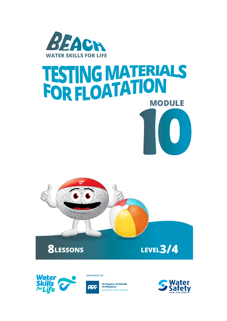

# **10 TESTING MATERIALS<br>FOR FLOATATION**





**SUPPORTED BY** 



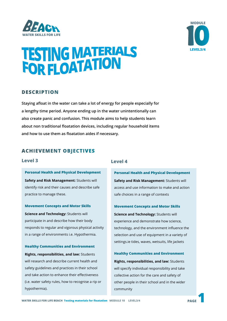



## **TESTING MATERIALS<br>FOR FLOATATION**

#### **DESCRIPTION**

**Staying afloat in the water can take a lot of energy for people especially for a lengthy time period. Anyone ending up in the water unintentionally can also create panic and confusion. This module aims to help students learn about non traditional floatation devices, including regular household items and how to use them as floatation aides if necessary.** 

#### **ACHIEVEMENT OBJECTIVES**

#### **Level 3**

**Personal Health and Physical Development Safety and Risk Management:** Students will identify risk and their causes and describe safe practice to manage these.

**Movement Concepts and Motor Skills**

**Science and Technology: Students will** participate in and describe how their body responds to regular and vigorous physical activity in a range of environments i.e. Hypothermia.

**Healthy Communities and Environment**

**Rights, responsibilities, and law:** Students will research and describe current health and safety guidelines and practices in their school and take action to enhance their effectiveness (i.e. water safety rules, how to recognise a rip or hypothermia).

#### **Level 4**

**Personal Health and Physical Development Safety and Risk Management:** Students will access and use information to make and action safe choices in a range of contexts

**Movement Concepts and Motor Skills Science and Technology:** Students will experience and demonstrate how science, technology, and the environment influence the selection and use of equipment in a variety of settings.ie tides, waves, wetsuits, life jackets

**Healthy Communities and Environment Rights, responsibilities, and law:** Students will specify individual responsibility and take collective action for the care and safety of other people in their school and in the wider community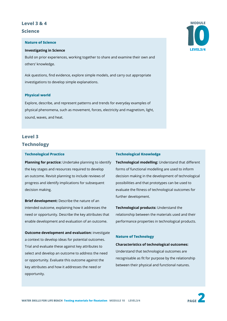#### **Level 3 & 4**

#### **Science**

#### **Nature of Science**

#### **Investigating in Science**

Build on prior experiences, working together to share and examine their own and others' knowledge.

Ask questions, find evidence, explore simple models, and carry out appropriate investigations to develop simple explanations.

#### **Physical world**

Explore, describe, and represent patterns and trends for everyday examples of physical phenomena, such as movement, forces, electricity and magnetism, light, sound, waves, and heat.

#### **Level 3 Technology**

#### **Technological Practice**

**Planning for practice:** Undertake planning to identify the key stages and resources required to develop an outcome. Revisit planning to include reviews of progress and identify implications for subsequent decision making.

**Brief development:** Describe the nature of an intended outcome, explaining how it addresses the need or opportunity. Describe the key attributes that enable development and evaluation of an outcome.

**Outcome development and evaluation:** investigate a context to develop ideas for potential outcomes. Trial and evaluate these against key attributes to select and develop an outcome to address the need or opportunity. Evaluate this outcome against the key attributes and how it addresses the need or opportunity.

#### **Technological Knowledge**

**Technological modelling:** Understand that different forms of functional modelling are used to inform decision making in the development of technological possibilities and that prototypes can be used to evaluate the fitness of technological outcomes for further development.

**Technological products:** Understand the relationship between the materials used and their performance properties in technological products.

#### **Nature of Technology**

#### **Characteristics of technological outcomes:**

Understand that technological outcomes are recognisable as fit for purpose by the relationship between their physical and functional natures.





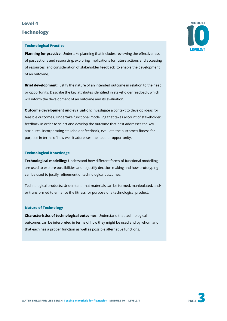#### **Level 4**

#### **Technology**

#### **Technological Practice**

**Planning for practice:** Undertake planning that includes reviewing the effectiveness of past actions and resourcing, exploring implications for future actions and accessing of resources, and consideration of stakeholder feedback, to enable the development of an outcome.

**Brief development:** Justify the nature of an intended outcome in relation to the need or opportunity. Describe the key attributes identified in stakeholder feedback, which will inform the development of an outcome and its evaluation.

**Outcome development and evaluation:** Investigate a context to develop ideas for feasible outcomes. Undertake functional modelling that takes account of stakeholder feedback in order to select and develop the outcome that best addresses the key attributes. Incorporating stakeholder feedback, evaluate the outcome's fitness for purpose in terms of how well it addresses the need or opportunity.

#### **Technological Knowledge**

**Technological modelling:** Understand how different forms of functional modelling are used to explore possibilities and to justify decision making and how prototyping can be used to justify refinement of technological outcomes.

Technological products: Understand that materials can be formed, manipulated, and/ or transformed to enhance the fitness for purpose of a technological product.

#### **Nature of Technology**

**Characteristics of technological outcomes:** Understand that technological outcomes can be interpreted in terms of how they might be used and by whom and that each has a proper function as well as possible alternative functions.

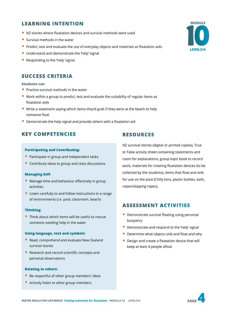#### **LEARNING INTENTION**

- NZ stories where floatation devices and survival methods were used
- Survival methods in the water
- Predict, test and evaluate the use of everyday objects and materials as floatation aids
- Understand and demonstrate the 'help' signal
- Responding to the 'help' signal

#### **SUCCESS CRITERIA**

#### **Students can**

- Practice survival methods in the water
- Work within a group to predict, test and evaluate the suitability of regular items as floatation aids
- Write a statement saying which items they'd grab if they were at the beach to help someone float
- Demonstrate the help signal and provide others with a floatation aid

#### **KEY COMPETENCIES RESOURCES**

#### **Participating and Contributing:**

- Participate in group and independent tasks
- Contribute ideas to group and class discussions

#### **Managing Self:**

- Manage time and behaviour effectively in group activities
- Listen carefully to and follow instructions in a range of environments (i.e. pool, classroom, beach)

#### **Thinking:**

• Think about which items will be useful to rescue someone needing help in the water

#### **Using language, text and symbols:**

- Read, comprehend and evaluate New Zealand survival stories
- Research and record scientific concepts and personal observations

#### **Relating to others:**

- Be respectful of other group members' ideas
- Actively listen to other group members

NZ survival stories (digital or printed copies), True or False activity sheet containing statements and room for explanations, group topic book to record work, materials for creating floatation devices (to be collected by the students), items that float and sink for use on the pool (Chilly bins, plastic bottles, balls, ropes/skipping ropes),

#### **ASSESSMENT ACTIVITIES**

- Demonstrate survival floating using personal buoyancy
- Demonstrate and respond to the 'help' signal
- Determine what objects sink and float and why
- Design and create a floatation device that will keep at least 4 people afloat



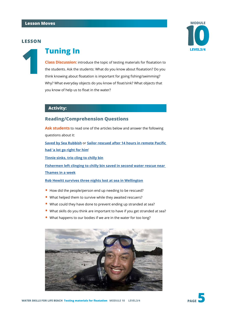

#### **1 Tuning In**

**Class Discussion:** introduce the topic of testing materials for floatation to the students. Ask the students: What do you know about floatation? Do you think knowing about floatation is important for going fishing/swimming? Why? What everyday objects do you know of float/sink? What objects that you know of help us to float in the water?

#### **Activity:**

#### **Reading/Comprehension Questions**

**Ask students** to read one of the articles below and answer the following questions about it:

**Saved by Sea Rubbish** or **Sailor rescued after 14 hours in remote Pacific had 'a lot go right for him**'

**Tinnie sinks, trio cling to chilly bin**

**Fishermen left clinging to chilly bin saved in second water rescue near Thames in a week**

**Rob Hewitt survives three nights lost at sea in Wellington**

- How did the people/person end up needing to be rescued?
- What helped them to survive while they awaited rescuers?
- What could they have done to prevent ending up stranded at sea?
- What skills do you think are important to have if you get stranded at sea?
- What happens to our bodies if we are in the water for too long?



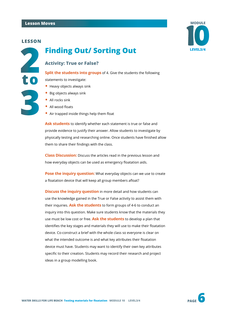**to**

**3**



### **LEVEL3/4 Finding Out/ Sorting Out 2**

#### **Activity: True or False?**

**Split the students into groups** of 4. Give the students the following

statements to investigate:

- Heavy objects always sink
- Big objects always sink
- All rocks sink
- All wood floats
- Air trapped inside things help them float

**Ask students** to identify whether each statement is true or false and provide evidence to justify their answer. Allow students to investigate by physically testing and researching online. Once students have finished allow them to share their findings with the class.

**Class Discussion:** Discuss the articles read in the previous lesson and how everyday objects can be used as emergency floatation aids.

**Pose the inquiry question:** What everyday objects can we use to create a floatation device that will keep all group members afloat?

**Discuss the inquiry question** in more detail and how students can use the knowledge gained in the True or False activity to assist them with their inquiries. **Ask the students** to form groups of 4-6 to conduct an inquiry into this question. Make sure students know that the materials they use must be low cost or free. **Ask the students** to develop a plan that identifies the key stages and materials they will use to make their floatation device. Co-construct a brief with the whole class so everyone is clear on what the intended outcome is and what key attributes their floatation device must have. Students may want to identify their own key attributes specific to their creation. Students may record their research and project ideas in a group modelling book.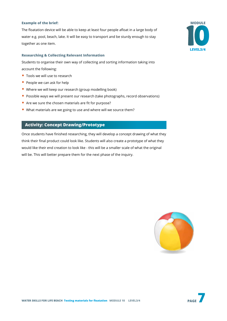#### **Example of the brief:**

The floatation device will be able to keep at least four people afloat in a large body of water e.g. pool, beach, lake. It will be easy to transport and be sturdy enough to stay together as one item.

#### **Researching & Collecting Relevant Information**

Students to organise their own way of collecting and sorting information taking into account the following:

- Tools we will use to research
- People we can ask for help
- Where we will keep our research (group modelling book)
- Possible ways we will present our research (take photographs, record observations)
- Are we sure the chosen materials are fit for purpose?
- What materials are we going to use and where will we source them?

#### **Activity: Concept Drawing/Prototype**

Once students have finished researching, they will develop a concept drawing of what they think their final product could look like. Students will also create a prototype of what they would like their end creation to look like - this will be a smaller scale of what the original will be. This will better prepare them for the next phase of the inquiry.



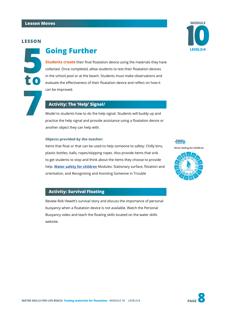**5 to**

#### **Going Further LEVEL3/4**

**Students create** their final floatation device using the materials they have collected. Once completed, allow students to test their floatation devices in the school pool or at the beach. Students must make observations and evaluate the effectiveness of their floatation device and reflect on how it can be improved.

**7 Activity: The 'Help' Signal/ Activity: The 'Help' Signal/ Model to students how to do the help** practice the help signal and provide as Model to students how to do the help signal. Students will buddy up and practice the help signal and provide assistance using a floatation device or another object they can help with.

#### **Objects provided by the teacher:**

Items that float or that can be used to help someone to safety: Chilly bins, plastic bottles, balls, ropes/skipping ropes. Also provide items that sink to get students to stop and think about the items they choose to provide help. **[Water safety for children](https://www.dpanz.org.nz/courses/water-safety-for-children/)** Modules: Stationary surface, flotation and orientation, and Recognising and Assisting Someone in Trouble

#### **Activity: Survival Floating**

Review Rob Hewitt's survival story and discuss the importance of personal buoyancy when a floatation device is not available. Watch the Personal Buoyancy video and teach the floating skills located on the water skills website.